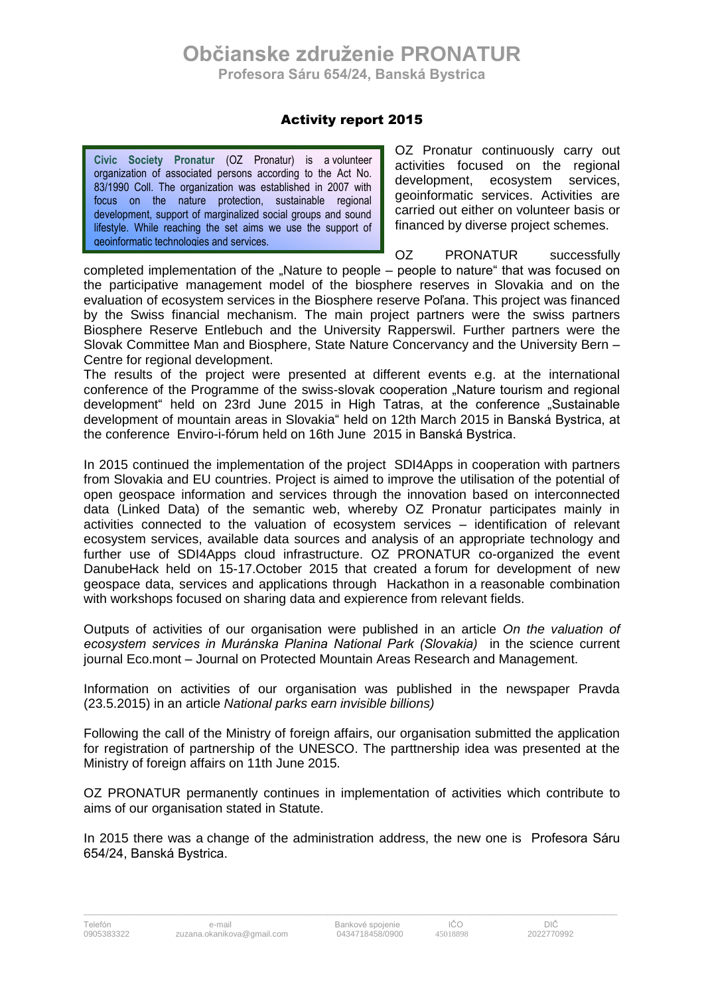## **Občianske združenie PRONATUR Profesora Sáru 654/24, Banská Bystrica**

## Activity report 2015

**Civic Society Pronatur** (OZ Pronatur) is a volunteer organization of associated persons according to the Act No. 83/1990 Coll. The organization was established in 2007 with focus on the nature protection, sustainable regional development, support of marginalized social groups and sound lifestyle. While reaching the set aims we use the support of geoinformatic technologies and services.

OZ Pronatur continuously carry out activities focused on the regional development, ecosystem services, geoinformatic services. Activities are carried out either on volunteer basis or financed by diverse project schemes.

OZ PRONATUR successfully completed implementation of the "Nature to people – people to nature" that was focused on the participative management model of the biosphere reserves in Slovakia and on the evaluation of ecosystem services in the Biosphere reserve Poľana. This project was financed by the Swiss financial mechanism. The main project partners were the swiss partners Biosphere Reserve Entlebuch and the University Rapperswil. Further partners were the Slovak Committee Man and Biosphere, State Nature Concervancy and the University Bern – Centre for regional development.

The results of the project were presented at different events e.g. at the international conference of the Programme of the swiss-slovak cooperation "Nature tourism and regional development <sup>"</sup> held on 23rd June 2015 in High Tatras, at the conference "Sustainable development of mountain areas in Slovakia" held on 12th March 2015 in Banská Bystrica, at the conference Enviro-i-fórum held on 16th June 2015 in Banská Bystrica.

In 2015 continued the implementation of the project SDI4Apps in cooperation with partners from Slovakia and EU countries. Project is aimed to improve the utilisation of the potential of open geospace information and services through the innovation based on interconnected data (Linked Data) of the semantic web, whereby OZ Pronatur participates mainly in activities connected to the valuation of ecosystem services – identification of relevant ecosystem services, available data sources and analysis of an appropriate technology and further use of SDI4Apps cloud infrastructure. OZ PRONATUR co-organized the event DanubeHack held on 15-17.October 2015 that created a forum for development of new geospace data, services and applications through Hackathon in a reasonable combination with workshops focused on sharing data and expierence from relevant fields.

Outputs of activities of our organisation were published in an article *On the valuation of ecosystem services in Muránska Planina National Park (Slovakia)* in the science current journal Eco.mont – Journal on Protected Mountain Areas Research and Management.

Information on activities of our organisation was published in the newspaper Pravda (23.5.2015) in an article *National parks earn invisible billions)*

Following the call of the Ministry of foreign affairs, our organisation submitted the application for registration of partnership of the UNESCO. The parttnership idea was presented at the Ministry of foreign affairs on 11th June 2015.

OZ PRONATUR permanently continues in implementation of activities which contribute to aims of our organisation stated in Statute.

In 2015 there was a change of the administration address, the new one is Profesora Sáru 654/24, Banská Bystrica.